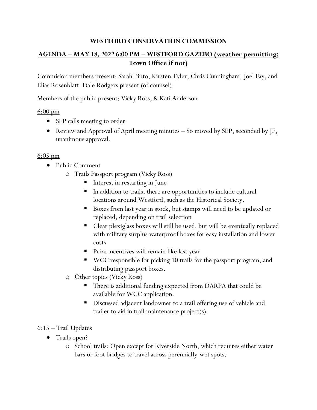### **WESTFORD CONSERVATION COMMISSION**

# **AGENDA – MAY 18, 2022 6:00 PM – WESTFORD GAZEBO (weather permitting; Town Office if not)**

Commision members present: Sarah Pinto, Kirsten Tyler, Chris Cunningham, Joel Fay, and Elias Rosenblatt. Dale Rodgers present (of counsel).

Members of the public present: Vicky Ross, & Kati Anderson

### $6:00 \,\mathrm{pm}$

- SEP calls meeting to order
- Review and Approval of April meeting minutes So moved by SEP, seconded by JF, unanimous approval.

### $6:05 \text{ pm}$

- Public Comment
	- o Trails Passport program (Vicky Ross)
		- Interest in restarting in June
		- In addition to trails, there are opportunities to include cultural locations around Westford, such as the Historical Society.
		- Boxes from last year in stock, but stamps will need to be updated or replaced, depending on trail selection
		- Clear plexiglass boxes will still be used, but will be eventually replaced with military surplus waterproof boxes for easy installation and lower costs
		- Prize incentives will remain like last year
		- WCC responsible for picking 10 trails for the passport program, and distributing passport boxes.
	- o Other topics (Vicky Ross)
		- There is additional funding expected from DARPA that could be available for WCC application.
		- Discussed adjacent landowner to a trail offering use of vehicle and trailer to aid in trail maintenance project(s).

## $6:15$  – Trail Updates

- Trails open?
	- o School trails: Open except for Riverside North, which requires either water bars or foot bridges to travel across perennially-wet spots.